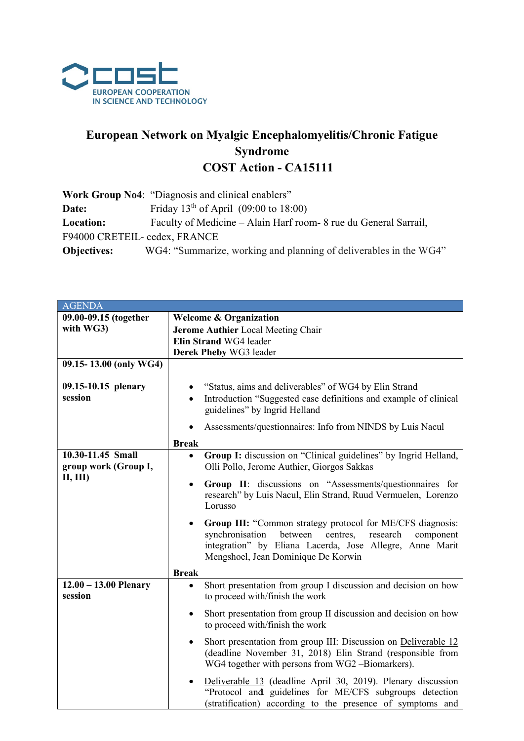

## European Network on Myalgic Encephalomyelitis/Chronic Fatigue Syndrome COST Action - CA15111

|                               | <b>Work Group No4: "Diagnosis and clinical enablers"</b>          |
|-------------------------------|-------------------------------------------------------------------|
| Date:                         | Friday $13^{th}$ of April (09:00 to 18:00)                        |
| Location:                     | Faculty of Medicine – Alain Harf room- 8 rue du General Sarrail,  |
| F94000 CRETEIL- cedex, FRANCE |                                                                   |
| <b>Objectives:</b>            | WG4: "Summarize, working and planning of deliverables in the WG4" |

| <b>AGENDA</b>                      |                                                                                                   |  |
|------------------------------------|---------------------------------------------------------------------------------------------------|--|
| 09.00-09.15 (together              | <b>Welcome &amp; Organization</b>                                                                 |  |
| with WG3)                          | Jerome Authier Local Meeting Chair                                                                |  |
|                                    | Elin Strand WG4 leader                                                                            |  |
|                                    | Derek Pheby WG3 leader                                                                            |  |
| 09.15-13.00 (only WG4)             |                                                                                                   |  |
|                                    |                                                                                                   |  |
| 09.15-10.15 plenary                | "Status, aims and deliverables" of WG4 by Elin Strand                                             |  |
| session                            | Introduction "Suggested case definitions and example of clinical<br>$\bullet$                     |  |
|                                    | guidelines" by Ingrid Helland                                                                     |  |
|                                    | Assessments/questionnaires: Info from NINDS by Luis Nacul                                         |  |
|                                    | <b>Break</b>                                                                                      |  |
| 10.30-11.45 Small                  | Group I: discussion on "Clinical guidelines" by Ingrid Helland,                                   |  |
| group work (Group I,               | Olli Pollo, Jerome Authier, Giorgos Sakkas                                                        |  |
| II, III                            | Group II: discussions on "Assessments/questionnaires for<br>$\bullet$                             |  |
|                                    | research" by Luis Nacul, Elin Strand, Ruud Vermuelen, Lorenzo                                     |  |
|                                    | Lorusso                                                                                           |  |
|                                    | Group III: "Common strategy protocol for ME/CFS diagnosis:                                        |  |
|                                    | synchronisation<br>between centres, research<br>component                                         |  |
|                                    | integration" by Eliana Lacerda, Jose Allegre, Anne Marit                                          |  |
|                                    | Mengshoel, Jean Dominique De Korwin                                                               |  |
|                                    |                                                                                                   |  |
|                                    | <b>Break</b>                                                                                      |  |
| $12.00 - 13.00$ Plenary<br>session | Short presentation from group I discussion and decision on how<br>to proceed with/finish the work |  |
|                                    |                                                                                                   |  |
|                                    | Short presentation from group II discussion and decision on how<br>$\bullet$                      |  |
|                                    | to proceed with/finish the work                                                                   |  |
|                                    | Short presentation from group III: Discussion on Deliverable 12<br>$\bullet$                      |  |
|                                    | (deadline November 31, 2018) Elin Strand (responsible from                                        |  |
|                                    | WG4 together with persons from WG2 -Biomarkers).                                                  |  |
|                                    | Deliverable 13 (deadline April 30, 2019). Plenary discussion<br>$\bullet$                         |  |
|                                    | "Protocol and guidelines for ME/CFS subgroups detection                                           |  |
|                                    | (stratification) according to the presence of symptoms and                                        |  |